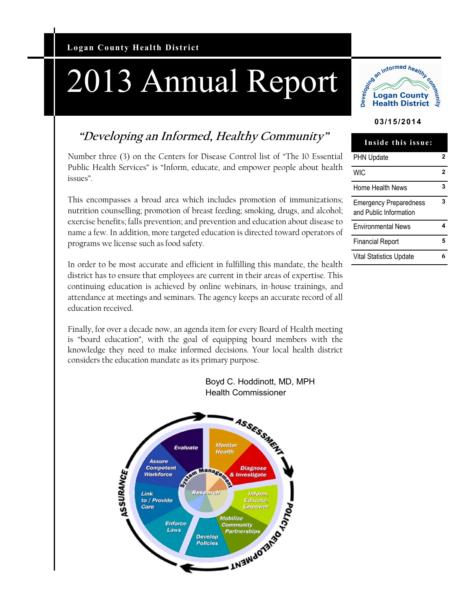# 2013 Annual Report



#### **03/15/2014**

# **"Developing an Informed, Healthy Community"**

Number three (3) on the Centers for Disease Control list of "The 10 Essential Public Health Services" is "Inform, educate, and empower people about health issues".

This encompasses a broad area which includes promotion of immunizations; nutrition counselling; promotion of breast feeding; smoking, drugs, and alcohol; exercise benefits; falls prevention; and prevention and education about disease to name a few. In addition, more targeted education is directed toward operators of programs we license such as food safety.

In order to be most accurate and efficient in fulfilling this mandate, the health district has to ensure that employees are current in their areas of expertise. This continuing education is achieved by online webinars, in-house trainings, and attendance at meetings and seminars. The agency keeps an accurate record of all education received.

Finally, for over a decade now, an agenda item for every Board of Health meeting is "board education", with the goal of equipping board members with the knowledge they need to make informed decisions. Your local health district considers the education mandate as its primary purpose.





| Inside this issue:                                      |   |
|---------------------------------------------------------|---|
| PHN Update                                              | 2 |
| <b>WIC</b>                                              | 2 |
| Home Health News                                        | 3 |
| <b>Emergency Preparedness</b><br>and Public Information | 3 |
| <b>Environmental News</b>                               | 4 |
| Financial Report                                        | 5 |
| <b>Vital Statistics Update</b>                          |   |
|                                                         |   |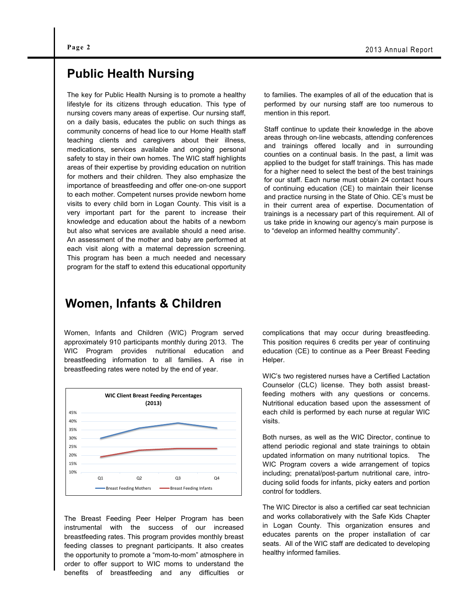### **Public Health Nursing**

The key for Public Health Nursing is to promote a healthy lifestyle for its citizens through education. This type of nursing covers many areas of expertise. Our nursing staff, on a daily basis, educates the public on such things as community concerns of head lice to our Home Health staff teaching clients and caregivers about their illness, medications, services available and ongoing personal safety to stay in their own homes. The WIC staff highlights areas of their expertise by providing education on nutrition for mothers and their children. They also emphasize the importance of breastfeeding and offer one-on-one support to each mother. Competent nurses provide newborn home visits to every child born in Logan County. This visit is a very important part for the parent to increase their knowledge and education about the habits of a newborn but also what services are available should a need arise. An assessment of the mother and baby are performed at each visit along with a maternal depression screening. This program has been a much needed and necessary program for the staff to extend this educational opportunity

#### to families. The examples of all of the education that is performed by our nursing staff are too numerous to mention in this report.

Staff continue to update their knowledge in the above areas through on-line webcasts, attending conferences and trainings offered locally and in surrounding counties on a continual basis. In the past, a limit was applied to the budget for staff trainings. This has made for a higher need to select the best of the best trainings for our staff. Each nurse must obtain 24 contact hours of continuing education (CE) to maintain their license and practice nursing in the State of Ohio. CE's must be in their current area of expertise. Documentation of trainings is a necessary part of this requirement. All of us take pride in knowing our agency's main purpose is to "develop an informed healthy community".

#### **Women, Infants & Children**

Women, Infants and Children (WIC) Program served approximately 910 participants monthly during 2013. The WIC Program provides nutritional education and breastfeeding information to all families. A rise in breastfeeding rates were noted by the end of year.



The Breast Feeding Peer Helper Program has been instrumental with the success of our increased breastfeeding rates. This program provides monthly breast feeding classes to pregnant participants. It also creates the opportunity to promote a "mom-to-mom" atmosphere in order to offer support to WIC moms to understand the benefits of breastfeeding and any difficulties or complications that may occur during breastfeeding. This position requires 6 credits per year of continuing education (CE) to continue as a Peer Breast Feeding Helper.

WIC's two registered nurses have a Certified Lactation Counselor (CLC) license. They both assist breastfeeding mothers with any questions or concerns. Nutritional education based upon the assessment of each child is performed by each nurse at regular WIC visits.

Both nurses, as well as the WIC Director, continue to attend periodic regional and state trainings to obtain updated information on many nutritional topics. The WIC Program covers a wide arrangement of topics including; prenatal/post-partum nutritional care, introducing solid foods for infants, picky eaters and portion control for toddlers.

The WIC Director is also a certified car seat technician and works collaboratively with the Safe Kids Chapter in Logan County. This organization ensures and educates parents on the proper installation of car seats. All of the WIC staff are dedicated to developing healthy informed families.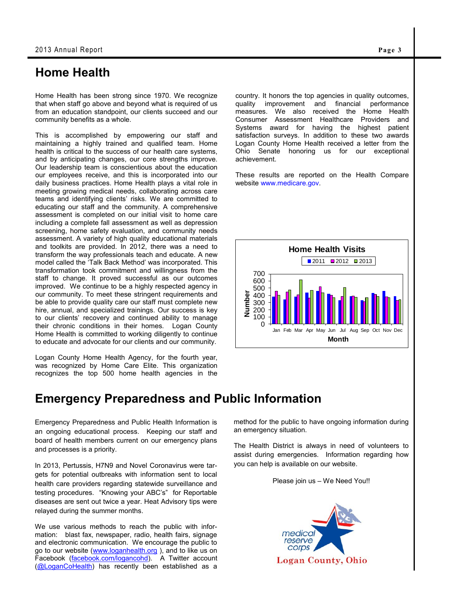## **Home Health**

Home Health has been strong since 1970. We recognize that when staff go above and beyond what is required of us from an education standpoint, our clients succeed and our community benefits as a whole.

This is accomplished by empowering our staff and maintaining a highly trained and qualified team. Home health is critical to the success of our health care systems, and by anticipating changes, our core strengths improve. Our leadership team is conscientious about the education our employees receive, and this is incorporated into our daily business practices. Home Health plays a vital role in meeting growing medical needs, collaborating across care teams and identifying clients' risks. We are committed to educating our staff and the community. A comprehensive assessment is completed on our initial visit to home care including a complete fall assessment as well as depression screening, home safety evaluation, and community needs assessment. A variety of high quality educational materials and toolkits are provided. In 2012, there was a need to transform the way professionals teach and educate. A new model called the 'Talk Back Method' was incorporated. This transformation took commitment and willingness from the staff to change. It proved successful as our outcomes improved. We continue to be a highly respected agency in our community. To meet these stringent requirements and be able to provide quality care our staff must complete new hire, annual, and specialized trainings. Our success is key to our clients' recovery and continued ability to manage their chronic conditions in their homes. Logan County Home Health is committed to working diligently to continue to educate and advocate for our clients and our community.

Logan County Home Health Agency, for the fourth year, was recognized by Home Care Elite. This organization recognizes the top 500 home health agencies in the

# **Emergency Preparedness and Public Information**

Emergency Preparedness and Public Health Information is an ongoing educational process. Keeping our staff and board of health members current on our emergency plans and processes is a priority.

In 2013, Pertussis, H7N9 and Novel Coronavirus were targets for potential outbreaks with information sent to local health care providers regarding statewide surveillance and testing procedures. "Knowing your ABC's" for Reportable diseases are sent out twice a year. Heat Advisory tips were relayed during the summer months.

We use various methods to reach the public with information: blast fax, newspaper, radio, health fairs, signage and electronic communication. We encourage the public to go to our website [\(www.loganhealth.org](http://www.loganhealth.org)), and to like us on Facebook (facebook.com/logancohd). A Twitter account (@LoganCoHealth) has recently been established as a country. It honors the top agencies in quality outcomes, quality improvement and financial performance measures. We also received the Home Health Consumer Assessment Healthcare Providers and Systems award for having the highest patient satisfaction surveys. In addition to these two awards Logan County Home Health received a letter from the Ohio Senate honoring us for our exceptional achievement.

These results are reported on the Health Compare website www.medicare.gov.



method for the public to have ongoing information during an emergency situation.

The Health District is always in need of volunteers to assist during emergencies. Information regarding how you can help is available on our website.



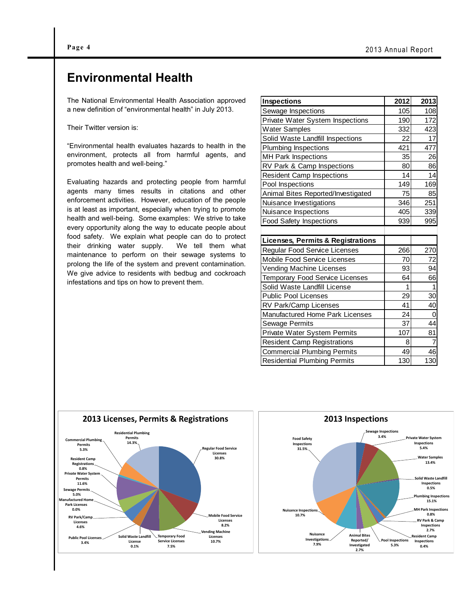### **Environmental Health**

The National Environmental Health Association approved a new definition of "environmental health" in July 2013.

Their Twitter version is:

"Environmental health evaluates hazards to health in the environment, protects all from harmful agents, and promotes health and well-being."

Evaluating hazards and protecting people from harmful agents many times results in citations and other enforcement activities. However, education of the people is at least as important, especially when trying to promote health and well-being. Some examples: We strive to take every opportunity along the way to educate people about food safety. We explain what people can do to protect their drinking water supply. We tell them what maintenance to perform on their sewage systems to prolong the life of the system and prevent contamination. We give advice to residents with bedbug and cockroach infestations and tips on how to prevent them.

| <b>Inspections</b>                           | 2012 | 2013           |
|----------------------------------------------|------|----------------|
| Sewage Inspections                           | 105  | 108            |
| Private Water System Inspections             | 190  | 172            |
| <b>Water Samples</b>                         | 332  | 423            |
| Solid Waste Landfill Inspections             | 22   | 17             |
| Plumbing Inspections                         | 421  | 477            |
| MH Park Inspections                          | 35   | 26             |
| RV Park & Camp Inspections                   | 80   | 86             |
| <b>Resident Camp Inspections</b>             | 14   | 14             |
| Pool Inspections                             | 149  | 169            |
| Animal Bites Reported/Investigated           | 75   | 85             |
| Nuisance Investigations                      | 346  | 251            |
| Nuisance Inspections                         | 405  | 339            |
| <b>Food Safety Inspections</b>               | 939  | 995            |
|                                              |      |                |
| <b>Licenses, Permits &amp; Registrations</b> |      |                |
| Regular Food Service Licenses                | 266  | 270            |
| <b>Mobile Food Service Licenses</b>          | 70   | 72             |
| <b>Vending Machine Licenses</b>              | 93   | 94             |
| Temporary Food Service Licenses              | 64   | 66             |
| Solid Waste Landfill License                 | 1    | 1              |
| <b>Public Pool Licenses</b>                  | 29   | 30             |
| RV Park/Camp Licenses                        | 41   | 40             |
| Manufactured Home Park Licenses              | 24   | 0              |
| <b>Sewage Permits</b>                        | 37   | 44             |
| Private Water System Permits                 | 107  | 81             |
| <b>Resident Camp Registrations</b>           | 8    | $\overline{7}$ |
| <b>Commercial Plumbing Permits</b>           | 49   | 46             |
| <b>Residential Plumbing Permits</b>          | 130  | 130            |



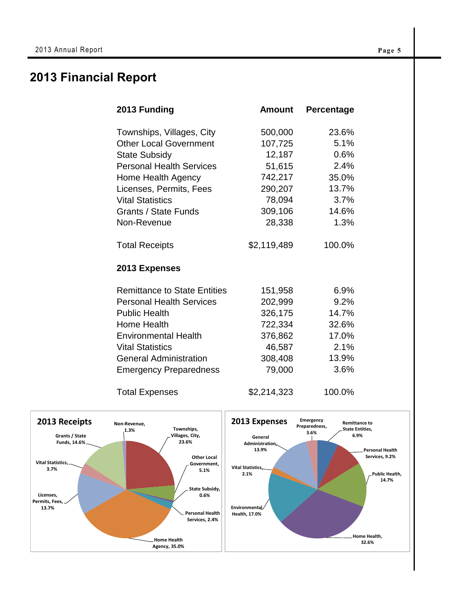# **2013 Financial Report**

| 2013 Funding                        | <b>Amount</b> | Percentage |
|-------------------------------------|---------------|------------|
| Townships, Villages, City           | 500,000       | 23.6%      |
| <b>Other Local Government</b>       | 107,725       | 5.1%       |
| <b>State Subsidy</b>                | 12,187        | 0.6%       |
| <b>Personal Health Services</b>     | 51,615        | 2.4%       |
| Home Health Agency                  | 742,217       | 35.0%      |
| Licenses, Permits, Fees             | 290,207       | 13.7%      |
| <b>Vital Statistics</b>             | 78,094        | 3.7%       |
| Grants / State Funds                | 309,106       | 14.6%      |
| Non-Revenue                         | 28,338        | 1.3%       |
| <b>Total Receipts</b>               | \$2,119,489   | 100.0%     |
| 2013 Expenses                       |               |            |
| <b>Remittance to State Entities</b> | 151,958       | 6.9%       |
| <b>Personal Health Services</b>     | 202,999       | 9.2%       |
| <b>Public Health</b>                | 326,175       | 14.7%      |
| Home Health                         | 722,334       | 32.6%      |
| <b>Environmental Health</b>         | 376,862       | 17.0%      |
| <b>Vital Statistics</b>             | 46,587        | 2.1%       |
| <b>General Administration</b>       | 308,408       | 13.9%      |
| <b>Emergency Preparedness</b>       | 79,000        | 3.6%       |
| <b>Total Expenses</b>               | \$2,214,323   | 100.0%     |